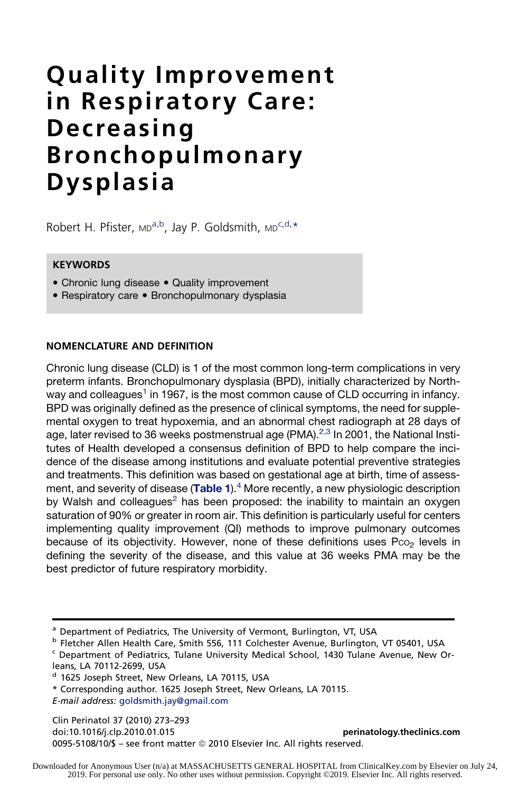# Quality Improvement in Respiratory Care: Decreasing Bronchopulmonary Dysplasia

Robert H. Pfister, MD<sup>a,b</sup>, Jay P. Goldsmith, MD<sup>c,d,\*</sup>

## **KEYWORDS**

- Chronic lung disease Quality improvement
- Respiratory care Bronchopulmonary dysplasia

### NOMENCLATURE AND DEFINITION

Chronic lung disease (CLD) is 1 of the most common long-term complications in very preterm infants. Bronchopulmonary dysplasia (BPD), initially characterized by North-way and colleagues<sup>[1](#page-14-0)</sup> in 1967, is the most common cause of CLD occurring in infancy. BPD was originally defined as the presence of clinical symptoms, the need for supplemental oxygen to treat hypoxemia, and an abnormal chest radiograph at 28 days of age, later revised to 36 weeks postmenstrual age  $(PMA)$ <sup>[2,3](#page-14-0)</sup> In 2001, the National Institutes of Health developed a consensus definition of BPD to help compare the incidence of the disease among institutions and evaluate potential preventive strategies and treatments. This definition was based on gestational age at birth, time of assess-ment, and severity of disease ([Table 1](#page-1-0)).<sup>[4](#page-14-0)</sup> More recently, a new physiologic description by Walsh and colleagues<sup>[2](#page-14-0)</sup> has been proposed: the inability to maintain an oxygen saturation of 90% or greater in room air. This definition is particularly useful for centers implementing quality improvement (QI) methods to improve pulmonary outcomes because of its objectivity. However, none of these definitions uses  $P_{C_2}$  levels in defining the severity of the disease, and this value at 36 weeks PMA may be the best predictor of future respiratory morbidity.

Clin Perinatol 37 (2010) 273–293 doi:10.1016/j.clp.2010.01.015 [perinatology.theclinics.com](http://perinatology.theclinics.com) 0095-5108/10/\$ - see front matter © 2010 Elsevier Inc. All rights reserved.

<sup>&</sup>lt;sup>a</sup> Department of Pediatrics, The University of Vermont, Burlington, VT, USA

<sup>&</sup>lt;sup>b</sup> Fletcher Allen Health Care, Smith 556, 111 Colchester Avenue, Burlington, VT 05401, USA

<sup>c</sup> Department of Pediatrics, Tulane University Medical School, 1430 Tulane Avenue, New Orleans, LA 70112-2699, USA

<sup>&</sup>lt;sup>d</sup> 1625 Joseph Street, New Orleans, LA 70115, USA

<sup>\*</sup> Corresponding author. 1625 Joseph Street, New Orleans, LA 70115. E-mail address: [goldsmith.jay@gmail.com](mailto:goldsmith.jay@gmail.com)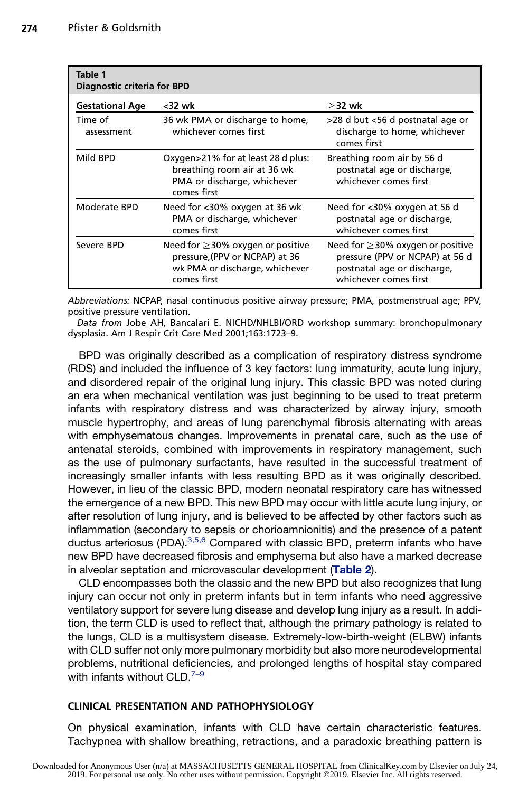<span id="page-1-0"></span>

| Table 1<br>Diagnostic criteria for BPD |                                                                                                                           |                                                                                                                                   |
|----------------------------------------|---------------------------------------------------------------------------------------------------------------------------|-----------------------------------------------------------------------------------------------------------------------------------|
| <b>Gestational Age</b>                 | <32 wk                                                                                                                    | $>$ 32 wk                                                                                                                         |
| Time of<br>assessment                  | 36 wk PMA or discharge to home,<br>whichever comes first                                                                  | >28 d but <56 d postnatal age or<br>discharge to home, whichever<br>comes first                                                   |
| Mild BPD                               | Oxygen > 21% for at least 28 d plus:<br>breathing room air at 36 wk<br>PMA or discharge, whichever<br>comes first         | Breathing room air by 56 d<br>postnatal age or discharge,<br>whichever comes first                                                |
| Moderate BPD                           | Need for <30% oxygen at 36 wk<br>PMA or discharge, whichever<br>comes first                                               | Need for <30% oxygen at 56 d<br>postnatal age or discharge,<br>whichever comes first                                              |
| Severe BPD                             | Need for $\geq$ 30% oxygen or positive<br>pressure, (PPV or NCPAP) at 36<br>wk PMA or discharge, whichever<br>comes first | Need for $\geq$ 30% oxygen or positive<br>pressure (PPV or NCPAP) at 56 d<br>postnatal age or discharge,<br>whichever comes first |

Abbreviations: NCPAP, nasal continuous positive airway pressure; PMA, postmenstrual age; PPV, positive pressure ventilation.

Data from Jobe AH, Bancalari E. NICHD/NHLBI/ORD workshop summary: bronchopulmonary dysplasia. Am J Respir Crit Care Med 2001;163:1723–9.

BPD was originally described as a complication of respiratory distress syndrome (RDS) and included the influence of 3 key factors: lung immaturity, acute lung injury, and disordered repair of the original lung injury. This classic BPD was noted during an era when mechanical ventilation was just beginning to be used to treat preterm infants with respiratory distress and was characterized by airway injury, smooth muscle hypertrophy, and areas of lung parenchymal fibrosis alternating with areas with emphysematous changes. Improvements in prenatal care, such as the use of antenatal steroids, combined with improvements in respiratory management, such as the use of pulmonary surfactants, have resulted in the successful treatment of increasingly smaller infants with less resulting BPD as it was originally described. However, in lieu of the classic BPD, modern neonatal respiratory care has witnessed the emergence of a new BPD. This new BPD may occur with little acute lung injury, or after resolution of lung injury, and is believed to be affected by other factors such as inflammation (secondary to sepsis or chorioamnionitis) and the presence of a patent ductus arteriosus (PDA).<sup>[3,5,6](#page-14-0)</sup> Compared with classic BPD, preterm infants who have new BPD have decreased fibrosis and emphysema but also have a marked decrease in alveolar septation and microvascular development ([Table 2](#page-2-0)).

CLD encompasses both the classic and the new BPD but also recognizes that lung injury can occur not only in preterm infants but in term infants who need aggressive ventilatory support for severe lung disease and develop lung injury as a result. In addition, the term CLD is used to reflect that, although the primary pathology is related to the lungs, CLD is a multisystem disease. Extremely-low-birth-weight (ELBW) infants with CLD suffer not only more pulmonary morbidity but also more neurodevelopmental problems, nutritional deficiencies, and prolonged lengths of hospital stay compared with infants without  $CLD.<sup>7-9</sup>$ 

## CLINICAL PRESENTATION AND PATHOPHYSIOLOGY

On physical examination, infants with CLD have certain characteristic features. Tachypnea with shallow breathing, retractions, and a paradoxic breathing pattern is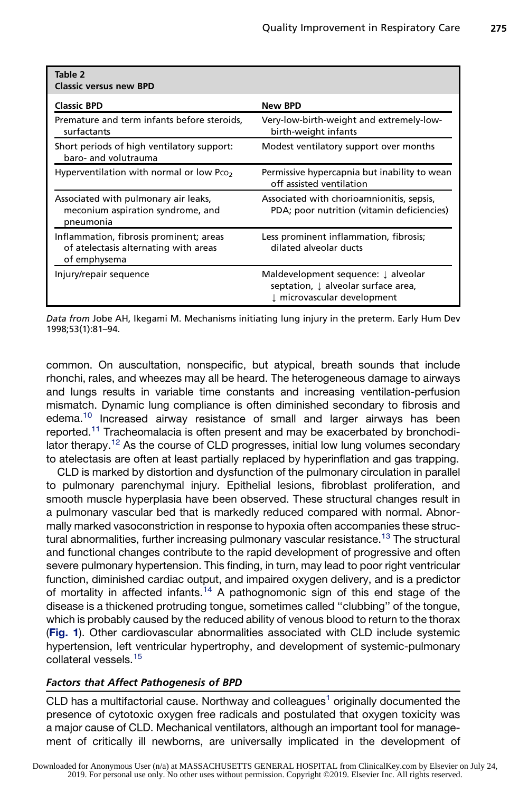<span id="page-2-0"></span>

| Table 2<br><b>Classic versus new BPD</b>                                                         |                                                                                                                                 |  |
|--------------------------------------------------------------------------------------------------|---------------------------------------------------------------------------------------------------------------------------------|--|
| <b>Classic BPD</b>                                                                               | <b>New BPD</b>                                                                                                                  |  |
| Premature and term infants before steroids,<br>surfactants                                       | Very-low-birth-weight and extremely-low-<br>birth-weight infants                                                                |  |
| Short periods of high ventilatory support:<br>baro- and volutrauma                               | Modest ventilatory support over months                                                                                          |  |
| Hyperventilation with normal or low Pco <sub>2</sub>                                             | Permissive hypercapnia but inability to wean<br>off assisted ventilation                                                        |  |
| Associated with pulmonary air leaks,<br>meconium aspiration syndrome, and<br>pneumonia           | Associated with chorioamnionitis, sepsis,<br>PDA; poor nutrition (vitamin deficiencies)                                         |  |
| Inflammation, fibrosis prominent; areas<br>of atelectasis alternating with areas<br>of emphysema | Less prominent inflammation, fibrosis;<br>dilated alveolar ducts                                                                |  |
| Injury/repair sequence                                                                           | Maldevelopment sequence: $\downarrow$ alveolar<br>septation, $\downarrow$ alveolar surface area,<br>↓ microvascular development |  |

Data from Jobe AH, Ikegami M. Mechanisms initiating lung injury in the preterm. Early Hum Dev 1998;53(1):81–94.

common. On auscultation, nonspecific, but atypical, breath sounds that include rhonchi, rales, and wheezes may all be heard. The heterogeneous damage to airways and lungs results in variable time constants and increasing ventilation-perfusion mismatch. Dynamic lung compliance is often diminished secondary to fibrosis and edema.<sup>[10](#page-15-0)</sup> Increased airway resistance of small and larger airways has been reported.[11](#page-15-0) Tracheomalacia is often present and may be exacerbated by bronchodi-lator therapy.<sup>[12](#page-15-0)</sup> As the course of CLD progresses, initial low lung volumes secondary to atelectasis are often at least partially replaced by hyperinflation and gas trapping.

CLD is marked by distortion and dysfunction of the pulmonary circulation in parallel to pulmonary parenchymal injury. Epithelial lesions, fibroblast proliferation, and smooth muscle hyperplasia have been observed. These structural changes result in a pulmonary vascular bed that is markedly reduced compared with normal. Abnormally marked vasoconstriction in response to hypoxia often accompanies these struc-tural abnormalities, further increasing pulmonary vascular resistance.<sup>[13](#page-15-0)</sup> The structural and functional changes contribute to the rapid development of progressive and often severe pulmonary hypertension. This finding, in turn, may lead to poor right ventricular function, diminished cardiac output, and impaired oxygen delivery, and is a predictor of mortality in affected infants.<sup>[14](#page-15-0)</sup> A pathognomonic sign of this end stage of the disease is a thickened protruding tongue, sometimes called ''clubbing'' of the tongue, which is probably caused by the reduced ability of venous blood to return to the thorax ([Fig. 1](#page-3-0)). Other cardiovascular abnormalities associated with CLD include systemic hypertension, left ventricular hypertrophy, and development of systemic-pulmonary collateral vessels.<sup>[15](#page-15-0)</sup>

### Factors that Affect Pathogenesis of BPD

CLD has a multifactorial cause. Northway and colleagues<sup>[1](#page-14-0)</sup> originally documented the presence of cytotoxic oxygen free radicals and postulated that oxygen toxicity was a major cause of CLD. Mechanical ventilators, although an important tool for management of critically ill newborns, are universally implicated in the development of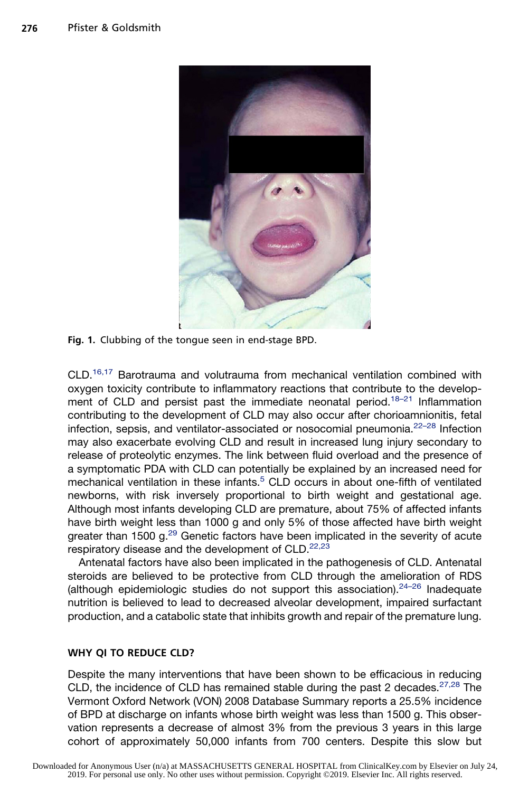<span id="page-3-0"></span>

Fig. 1. Clubbing of the tongue seen in end-stage BPD.

 $CLD<sup>16,17</sup>$  $CLD<sup>16,17</sup>$  $CLD<sup>16,17</sup>$  Barotrauma and volutrauma from mechanical ventilation combined with oxygen toxicity contribute to inflammatory reactions that contribute to the development of CLD and persist past the immediate neonatal period.<sup>18-21</sup> Inflammation contributing to the development of CLD may also occur after chorioamnionitis, fetal infection, sepsis, and ventilator-associated or nosocomial pneumonia.<sup>22-28</sup> Infection may also exacerbate evolving CLD and result in increased lung injury secondary to release of proteolytic enzymes. The link between fluid overload and the presence of a symptomatic PDA with CLD can potentially be explained by an increased need for mechanical ventilation in these infants.<sup>[5](#page-14-0)</sup> CLD occurs in about one-fifth of ventilated newborns, with risk inversely proportional to birth weight and gestational age. Although most infants developing CLD are premature, about 75% of affected infants have birth weight less than 1000 g and only 5% of those affected have birth weight greater than 1500 g.<sup>[29](#page-16-0)</sup> Genetic factors have been implicated in the severity of acute respiratory disease and the development of CLD. $22,23$ 

Antenatal factors have also been implicated in the pathogenesis of CLD. Antenatal steroids are believed to be protective from CLD through the amelioration of RDS (although epidemiologic studies do not support this association). $24-26$  Inadequate nutrition is believed to lead to decreased alveolar development, impaired surfactant production, and a catabolic state that inhibits growth and repair of the premature lung.

### WHY QI TO REDUCE CLD?

Despite the many interventions that have been shown to be efficacious in reducing CLD, the incidence of CLD has remained stable during the past 2 decades. $27,28$  The Vermont Oxford Network (VON) 2008 Database Summary reports a 25.5% incidence of BPD at discharge on infants whose birth weight was less than 1500 g. This observation represents a decrease of almost 3% from the previous 3 years in this large cohort of approximately 50,000 infants from 700 centers. Despite this slow but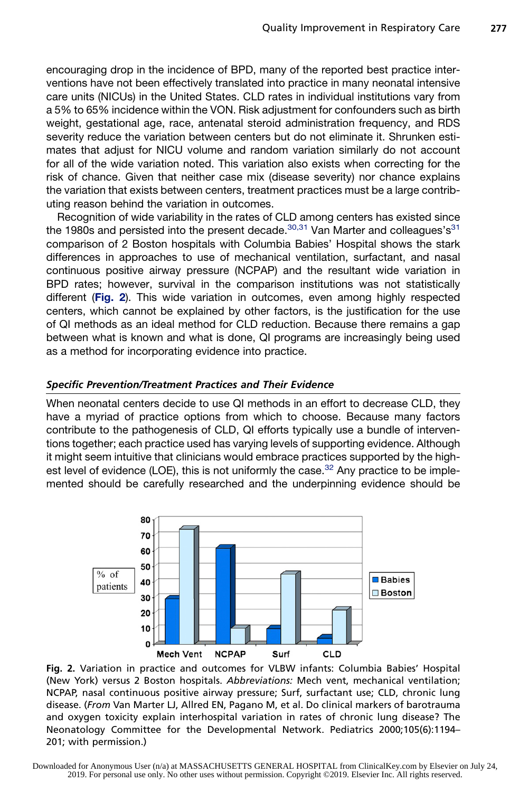encouraging drop in the incidence of BPD, many of the reported best practice interventions have not been effectively translated into practice in many neonatal intensive care units (NICUs) in the United States. CLD rates in individual institutions vary from a 5% to 65% incidence within the VON. Risk adjustment for confounders such as birth weight, gestational age, race, antenatal steroid administration frequency, and RDS severity reduce the variation between centers but do not eliminate it. Shrunken estimates that adjust for NICU volume and random variation similarly do not account for all of the wide variation noted. This variation also exists when correcting for the risk of chance. Given that neither case mix (disease severity) nor chance explains the variation that exists between centers, treatment practices must be a large contributing reason behind the variation in outcomes.

Recognition of wide variability in the rates of CLD among centers has existed since the 1980s and persisted into the present decade.<sup>[30,31](#page-16-0)</sup> Van Marter and colleagues's<sup>31</sup> comparison of 2 Boston hospitals with Columbia Babies' Hospital shows the stark differences in approaches to use of mechanical ventilation, surfactant, and nasal continuous positive airway pressure (NCPAP) and the resultant wide variation in BPD rates; however, survival in the comparison institutions was not statistically different (Fig. 2). This wide variation in outcomes, even among highly respected centers, which cannot be explained by other factors, is the justification for the use of QI methods as an ideal method for CLD reduction. Because there remains a gap between what is known and what is done, QI programs are increasingly being used as a method for incorporating evidence into practice.

#### Specific Prevention/Treatment Practices and Their Evidence

When neonatal centers decide to use QI methods in an effort to decrease CLD, they have a myriad of practice options from which to choose. Because many factors contribute to the pathogenesis of CLD, QI efforts typically use a bundle of interventions together; each practice used has varying levels of supporting evidence. Although it might seem intuitive that clinicians would embrace practices supported by the high-est level of evidence (LOE), this is not uniformly the case.<sup>[32](#page-16-0)</sup> Any practice to be implemented should be carefully researched and the underpinning evidence should be



Fig. 2. Variation in practice and outcomes for VLBW infants: Columbia Babies' Hospital (New York) versus 2 Boston hospitals. Abbreviations: Mech vent, mechanical ventilation; NCPAP, nasal continuous positive airway pressure; Surf, surfactant use; CLD, chronic lung disease. (From Van Marter LJ, Allred EN, Pagano M, et al. Do clinical markers of barotrauma and oxygen toxicity explain interhospital variation in rates of chronic lung disease? The Neonatology Committee for the Developmental Network. Pediatrics 2000;105(6):1194– 201; with permission.)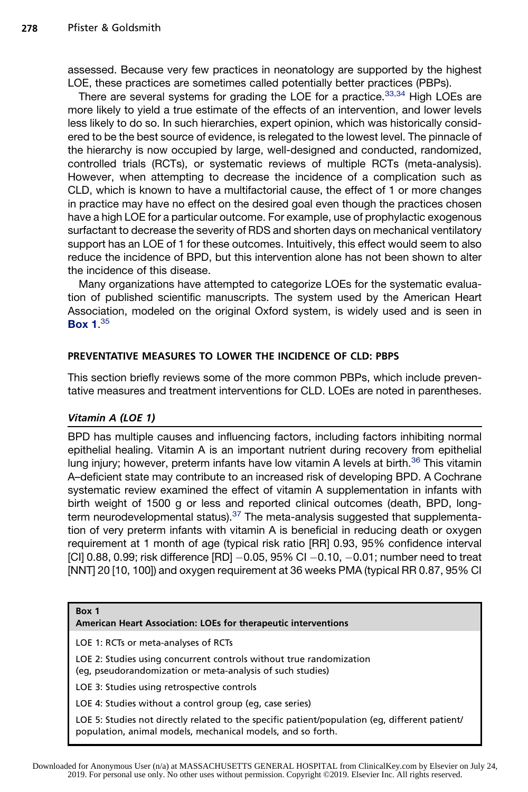assessed. Because very few practices in neonatology are supported by the highest LOE, these practices are sometimes called potentially better practices (PBPs).

There are several systems for grading the LOE for a practice.<sup>[33,34](#page-16-0)</sup> High LOEs are more likely to yield a true estimate of the effects of an intervention, and lower levels less likely to do so. In such hierarchies, expert opinion, which was historically considered to be the best source of evidence, is relegated to the lowest level. The pinnacle of the hierarchy is now occupied by large, well-designed and conducted, randomized, controlled trials (RCTs), or systematic reviews of multiple RCTs (meta-analysis). However, when attempting to decrease the incidence of a complication such as CLD, which is known to have a multifactorial cause, the effect of 1 or more changes in practice may have no effect on the desired goal even though the practices chosen have a high LOE for a particular outcome. For example, use of prophylactic exogenous surfactant to decrease the severity of RDS and shorten days on mechanical ventilatory support has an LOE of 1 for these outcomes. Intuitively, this effect would seem to also reduce the incidence of BPD, but this intervention alone has not been shown to alter the incidence of this disease.

Many organizations have attempted to categorize LOEs for the systematic evaluation of published scientific manuscripts. The system used by the American Heart Association, modeled on the original Oxford system, is widely used and is seen in Box 1. [35](#page-16-0)

## PREVENTATIVE MEASURES TO LOWER THE INCIDENCE OF CLD: PBPS

This section briefly reviews some of the more common PBPs, which include preventative measures and treatment interventions for CLD. LOEs are noted in parentheses.

### Vitamin A (LOE 1)

BPD has multiple causes and influencing factors, including factors inhibiting normal epithelial healing. Vitamin A is an important nutrient during recovery from epithelial lung injury; however, preterm infants have low vitamin A levels at birth.<sup>[36](#page-16-0)</sup> This vitamin A–deficient state may contribute to an increased risk of developing BPD. A Cochrane systematic review examined the effect of vitamin A supplementation in infants with birth weight of 1500 g or less and reported clinical outcomes (death, BPD, longterm neurodevelopmental status). $37$  The meta-analysis suggested that supplementation of very preterm infants with vitamin A is beneficial in reducing death or oxygen requirement at 1 month of age (typical risk ratio [RR] 0.93, 95% confidence interval [CI] 0.88, 0.99; risk difference  $[RD] -0.05$ , 95% CI  $-0.10$ ,  $-0.01$ ; number need to treat [NNT] 20 [10, 100]) and oxygen requirement at 36 weeks PMA (typical RR 0.87, 95% CI

#### Box 1

American Heart Association: LOEs for therapeutic interventions

LOE 1: RCTs or meta-analyses of RCTs

LOE 2: Studies using concurrent controls without true randomization

(eg, pseudorandomization or meta-analysis of such studies)

LOE 3: Studies using retrospective controls

LOE 4: Studies without a control group (eg, case series)

LOE 5: Studies not directly related to the specific patient/population (eg, different patient/ population, animal models, mechanical models, and so forth.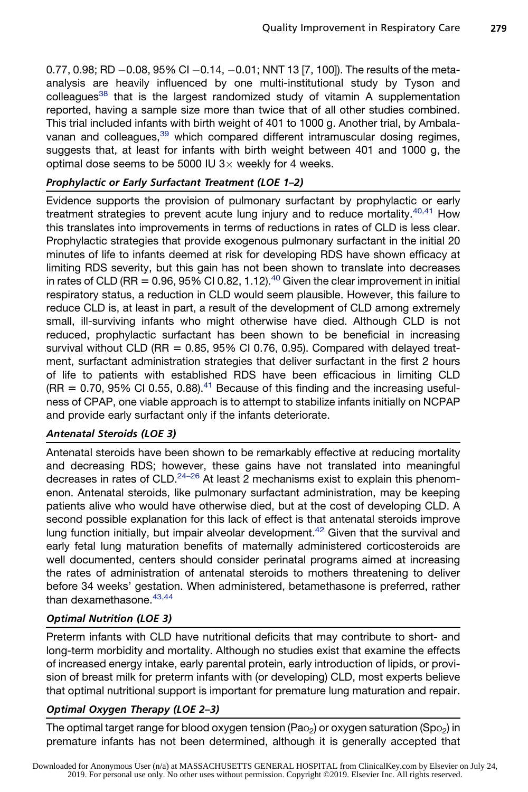0.77, 0.98; RD  $-0.08$ , 95% CI  $-0.14$ ,  $-0.01$ ; NNT 13 [7, 100]). The results of the metaanalysis are heavily influenced by one multi-institutional study by Tyson and  $colleagues<sup>38</sup>$  $colleagues<sup>38</sup>$  $colleagues<sup>38</sup>$  that is the largest randomized study of vitamin A supplementation reported, having a sample size more than twice that of all other studies combined. This trial included infants with birth weight of 401 to 1000 g. Another trial, by Ambala-vanan and colleagues,<sup>[39](#page-16-0)</sup> which compared different intramuscular dosing regimes, suggests that, at least for infants with birth weight between 401 and 1000 g, the optimal dose seems to be 5000 IU  $3\times$  weekly for 4 weeks.

## Prophylactic or Early Surfactant Treatment (LOE 1–2)

Evidence supports the provision of pulmonary surfactant by prophylactic or early treatment strategies to prevent acute lung injury and to reduce mortality.<sup>[40,41](#page-16-0)</sup> How this translates into improvements in terms of reductions in rates of CLD is less clear. Prophylactic strategies that provide exogenous pulmonary surfactant in the initial 20 minutes of life to infants deemed at risk for developing RDS have shown efficacy at limiting RDS severity, but this gain has not been shown to translate into decreases in rates of CLD (RR =  $0.96$ , 95% CI 0.82, 1.12).<sup>[40](#page-16-0)</sup> Given the clear improvement in initial respiratory status, a reduction in CLD would seem plausible. However, this failure to reduce CLD is, at least in part, a result of the development of CLD among extremely small, ill-surviving infants who might otherwise have died. Although CLD is not reduced, prophylactic surfactant has been shown to be beneficial in increasing survival without CLD (RR =  $0.85$ , 95% Cl 0.76, 0.95). Compared with delayed treatment, surfactant administration strategies that deliver surfactant in the first 2 hours of life to patients with established RDS have been efficacious in limiting CLD  $(RR = 0.70, 95\% \text{ CI } 0.55, 0.88).$ <sup>[41](#page-16-0)</sup> Because of this finding and the increasing usefulness of CPAP, one viable approach is to attempt to stabilize infants initially on NCPAP and provide early surfactant only if the infants deteriorate.

# Antenatal Steroids (LOE 3)

Antenatal steroids have been shown to be remarkably effective at reducing mortality and decreasing RDS; however, these gains have not translated into meaningful decreases in rates of CLD. $24-26$  At least 2 mechanisms exist to explain this phenomenon. Antenatal steroids, like pulmonary surfactant administration, may be keeping patients alive who would have otherwise died, but at the cost of developing CLD. A second possible explanation for this lack of effect is that antenatal steroids improve lung function initially, but impair alveolar development.<sup>[42](#page-16-0)</sup> Given that the survival and early fetal lung maturation benefits of maternally administered corticosteroids are well documented, centers should consider perinatal programs aimed at increasing the rates of administration of antenatal steroids to mothers threatening to deliver before 34 weeks' gestation. When administered, betamethasone is preferred, rather than dexamethasone. $43,44$ 

# Optimal Nutrition (LOE 3)

Preterm infants with CLD have nutritional deficits that may contribute to short- and long-term morbidity and mortality. Although no studies exist that examine the effects of increased energy intake, early parental protein, early introduction of lipids, or provision of breast milk for preterm infants with (or developing) CLD, most experts believe that optimal nutritional support is important for premature lung maturation and repair.

# Optimal Oxygen Therapy (LOE 2–3)

The optimal target range for blood oxygen tension (Pa $\circ$ <sub>2</sub>) or oxygen saturation (Sp $\circ$ <sub>2</sub>) in premature infants has not been determined, although it is generally accepted that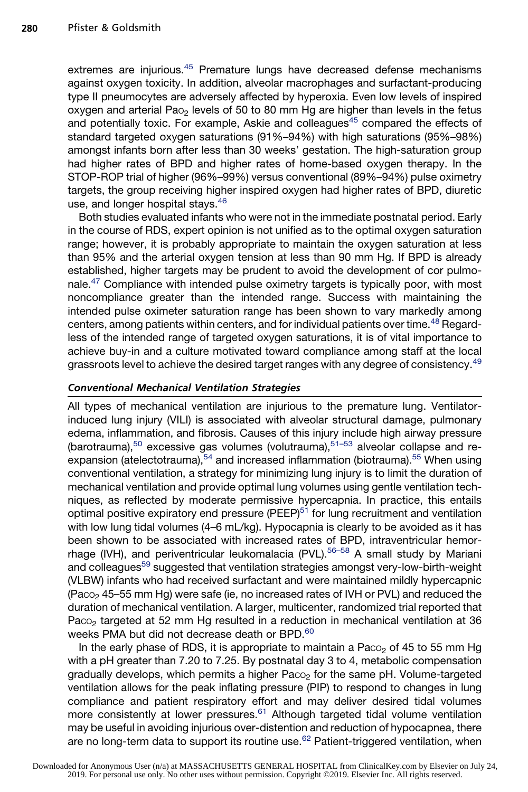extremes are injurious.<sup>[45](#page-16-0)</sup> Premature lungs have decreased defense mechanisms against oxygen toxicity. In addition, alveolar macrophages and surfactant-producing type II pneumocytes are adversely affected by hyperoxia. Even low levels of inspired oxygen and arterial Pa $_{2}$  levels of 50 to 80 mm Hg are higher than levels in the fetus and potentially toxic. For example, Askie and colleagues<sup>[45](#page-16-0)</sup> compared the effects of standard targeted oxygen saturations (91%–94%) with high saturations (95%–98%) amongst infants born after less than 30 weeks' gestation. The high-saturation group had higher rates of BPD and higher rates of home-based oxygen therapy. In the STOP-ROP trial of higher (96%–99%) versus conventional (89%–94%) pulse oximetry targets, the group receiving higher inspired oxygen had higher rates of BPD, diuretic use, and longer hospital stays.<sup>46</sup>

Both studies evaluated infants who were not in the immediate postnatal period. Early in the course of RDS, expert opinion is not unified as to the optimal oxygen saturation range; however, it is probably appropriate to maintain the oxygen saturation at less than 95% and the arterial oxygen tension at less than 90 mm Hg. If BPD is already established, higher targets may be prudent to avoid the development of cor pulmo-nale.<sup>[47](#page-17-0)</sup> Compliance with intended pulse oximetry targets is typically poor, with most noncompliance greater than the intended range. Success with maintaining the intended pulse oximeter saturation range has been shown to vary markedly among centers, among patients within centers, and for individual patients over time.<sup>[48](#page-17-0)</sup> Regardless of the intended range of targeted oxygen saturations, it is of vital importance to achieve buy-in and a culture motivated toward compliance among staff at the local grassroots level to achieve the desired target ranges with any degree of consistency.<sup>[49](#page-17-0)</sup>

#### Conventional Mechanical Ventilation Strategies

All types of mechanical ventilation are injurious to the premature lung. Ventilatorinduced lung injury (VILI) is associated with alveolar structural damage, pulmonary edema, inflammation, and fibrosis. Causes of this injury include high airway pressure (barotrauma), $50$  excessive gas volumes (volutrauma), $51-53$  alveolar collapse and reexpansion (atelectotrauma),  $54$  and increased inflammation (biotrauma).  $55$  When using conventional ventilation, a strategy for minimizing lung injury is to limit the duration of mechanical ventilation and provide optimal lung volumes using gentle ventilation techniques, as reflected by moderate permissive hypercapnia. In practice, this entails optimal positive expiratory end pressure ( $PEEP<sup>51</sup>$  for lung recruitment and ventilation with low lung tidal volumes (4–6 mL/kg). Hypocapnia is clearly to be avoided as it has been shown to be associated with increased rates of BPD, intraventricular hemor-rhage (IVH), and periventricular leukomalacia (PVL).<sup>[56–58](#page-17-0)</sup> A small study by Mariani and colleagues<sup>[59](#page-17-0)</sup> suggested that ventilation strategies amongst very-low-birth-weight (VLBW) infants who had received surfactant and were maintained mildly hypercapnic (PaCO2 45–55 mm Hg) were safe (ie, no increased rates of IVH or PVL) and reduced the duration of mechanical ventilation. A larger, multicenter, randomized trial reported that Paco<sub>2</sub> targeted at 52 mm Hg resulted in a reduction in mechanical ventilation at 36 weeks PMA but did not decrease death or BPD.<sup>[60](#page-17-0)</sup>

In the early phase of RDS, it is appropriate to maintain a Paco<sub>2</sub> of 45 to 55 mm Hg with a pH greater than 7.20 to 7.25. By postnatal day 3 to 4, metabolic compensation gradually develops, which permits a higher  $Paco<sub>2</sub>$  for the same pH. Volume-targeted ventilation allows for the peak inflating pressure (PIP) to respond to changes in lung compliance and patient respiratory effort and may deliver desired tidal volumes more consistently at lower pressures. $61$  Although targeted tidal volume ventilation may be useful in avoiding injurious over-distention and reduction of hypocapnea, there are no long-term data to support its routine use.<sup>[62](#page-17-0)</sup> Patient-triggered ventilation, when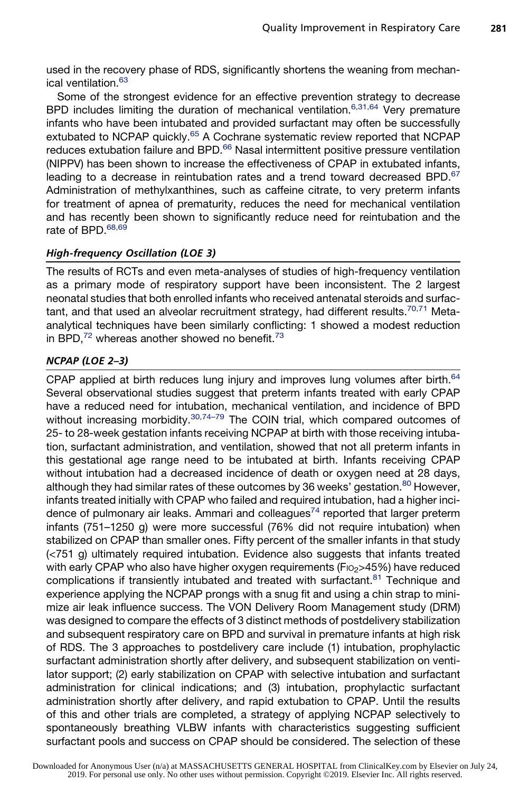used in the recovery phase of RDS, significantly shortens the weaning from mechan-ical ventilation.<sup>[63](#page-17-0)</sup>

Some of the strongest evidence for an effective prevention strategy to decrease BPD includes limiting the duration of mechanical ventilation.<sup>[6,31,64](#page-14-0)</sup> Very premature infants who have been intubated and provided surfactant may often be successfully extubated to NCPAP quickly.<sup>[65](#page-17-0)</sup> A Cochrane systematic review reported that NCPAP reduces extubation failure and BPD.<sup>66</sup> Nasal intermittent positive pressure ventilation (NIPPV) has been shown to increase the effectiveness of CPAP in extubated infants, leading to a decrease in reintubation rates and a trend toward decreased BPD.<sup>[67](#page-18-0)</sup> Administration of methylxanthines, such as caffeine citrate, to very preterm infants for treatment of apnea of prematurity, reduces the need for mechanical ventilation and has recently been shown to significantly reduce need for reintubation and the rate of BPD.<sup>68,69</sup>

### High-frequency Oscillation (LOE 3)

The results of RCTs and even meta-analyses of studies of high-frequency ventilation as a primary mode of respiratory support have been inconsistent. The 2 largest neonatal studies that both enrolled infants who received antenatal steroids and surfac-tant, and that used an alveolar recruitment strategy, had different results.<sup>[70,71](#page-18-0)</sup> Metaanalytical techniques have been similarly conflicting: 1 showed a modest reduction in BPD, $^{72}$  whereas another showed no benefit. $^{73}$  $^{73}$  $^{73}$ 

# NCPAP (LOE 2–3)

CPAP applied at birth reduces lung injury and improves lung volumes after birth.<sup>[64](#page-17-0)</sup> Several observational studies suggest that preterm infants treated with early CPAP have a reduced need for intubation, mechanical ventilation, and incidence of BPD without increasing morbidity.<sup>30,74-79</sup> The COIN trial, which compared outcomes of 25- to 28-week gestation infants receiving NCPAP at birth with those receiving intubation, surfactant administration, and ventilation, showed that not all preterm infants in this gestational age range need to be intubated at birth. Infants receiving CPAP without intubation had a decreased incidence of death or oxygen need at 28 days, although they had similar rates of these outcomes by 36 weeks' gestation. $80$  However, infants treated initially with CPAP who failed and required intubation, had a higher inci-dence of pulmonary air leaks. Ammari and colleagues<sup>[74](#page-18-0)</sup> reported that larger preterm infants (751–1250 g) were more successful (76% did not require intubation) when stabilized on CPAP than smaller ones. Fifty percent of the smaller infants in that study (<751 g) ultimately required intubation. Evidence also suggests that infants treated with early CPAP who also have higher oxygen requirements (FIO<sub>2</sub>>45%) have reduced complications if transiently intubated and treated with surfactant. $81$  Technique and experience applying the NCPAP prongs with a snug fit and using a chin strap to minimize air leak influence success. The VON Delivery Room Management study (DRM) was designed to compare the effects of 3 distinct methods of postdelivery stabilization and subsequent respiratory care on BPD and survival in premature infants at high risk of RDS. The 3 approaches to postdelivery care include (1) intubation, prophylactic surfactant administration shortly after delivery, and subsequent stabilization on ventilator support; (2) early stabilization on CPAP with selective intubation and surfactant administration for clinical indications; and (3) intubation, prophylactic surfactant administration shortly after delivery, and rapid extubation to CPAP. Until the results of this and other trials are completed, a strategy of applying NCPAP selectively to spontaneously breathing VLBW infants with characteristics suggesting sufficient surfactant pools and success on CPAP should be considered. The selection of these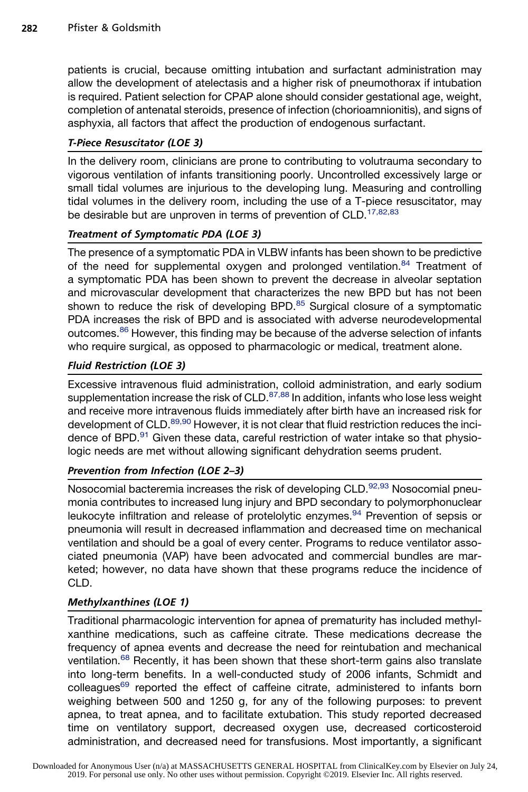patients is crucial, because omitting intubation and surfactant administration may allow the development of atelectasis and a higher risk of pneumothorax if intubation is required. Patient selection for CPAP alone should consider gestational age, weight, completion of antenatal steroids, presence of infection (chorioamnionitis), and signs of asphyxia, all factors that affect the production of endogenous surfactant.

# T-Piece Resuscitator (LOE 3)

In the delivery room, clinicians are prone to contributing to volutrauma secondary to vigorous ventilation of infants transitioning poorly. Uncontrolled excessively large or small tidal volumes are injurious to the developing lung. Measuring and controlling tidal volumes in the delivery room, including the use of a T-piece resuscitator, may be desirable but are unproven in terms of prevention of CLD.<sup>[17,82,83](#page-15-0)</sup>

# Treatment of Symptomatic PDA (LOE 3)

The presence of a symptomatic PDA in VLBW infants has been shown to be predictive of the need for supplemental oxygen and prolonged ventilation. $84$  Treatment of a symptomatic PDA has been shown to prevent the decrease in alveolar septation and microvascular development that characterizes the new BPD but has not been shown to reduce the risk of developing BPD.<sup>[85](#page-19-0)</sup> Surgical closure of a symptomatic PDA increases the risk of BPD and is associated with adverse neurodevelopmental outcomes.[86](#page-19-0) However, this finding may be because of the adverse selection of infants who require surgical, as opposed to pharmacologic or medical, treatment alone.

# Fluid Restriction (LOE 3)

Excessive intravenous fluid administration, colloid administration, and early sodium supplementation increase the risk of CLD. $87,88$  In addition, infants who lose less weight and receive more intravenous fluids immediately after birth have an increased risk for development of CLD.<sup>[89,90](#page-19-0)</sup> However, it is not clear that fluid restriction reduces the inci-dence of BPD.<sup>[91](#page-19-0)</sup> Given these data, careful restriction of water intake so that physiologic needs are met without allowing significant dehydration seems prudent.

# Prevention from Infection (LOE 2–3)

Nosocomial bacteremia increases the risk of developing CLD.<sup>[92,93](#page-19-0)</sup> Nosocomial pneumonia contributes to increased lung injury and BPD secondary to polymorphonuclear leukocyte infiltration and release of protelolytic enzymes.<sup>[94](#page-19-0)</sup> Prevention of sepsis or pneumonia will result in decreased inflammation and decreased time on mechanical ventilation and should be a goal of every center. Programs to reduce ventilator associated pneumonia (VAP) have been advocated and commercial bundles are marketed; however, no data have shown that these programs reduce the incidence of CLD.

# Methylxanthines (LOE 1)

Traditional pharmacologic intervention for apnea of prematurity has included methylxanthine medications, such as caffeine citrate. These medications decrease the frequency of apnea events and decrease the need for reintubation and mechanical ventilation.<sup>[68](#page-18-0)</sup> Recently, it has been shown that these short-term gains also translate into long-term benefits. In a well-conducted study of 2006 infants, Schmidt and colleagues<sup>[69](#page-18-0)</sup> reported the effect of caffeine citrate, administered to infants born weighing between 500 and 1250 g, for any of the following purposes: to prevent apnea, to treat apnea, and to facilitate extubation. This study reported decreased time on ventilatory support, decreased oxygen use, decreased corticosteroid administration, and decreased need for transfusions. Most importantly, a significant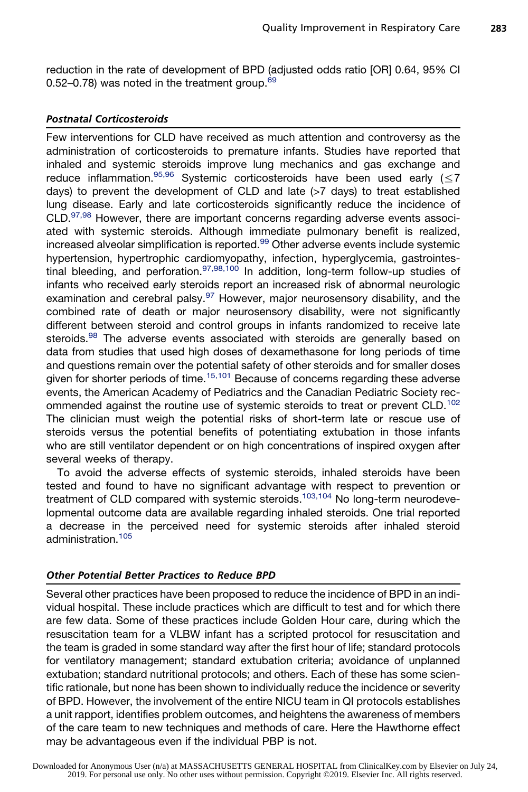reduction in the rate of development of BPD (adjusted odds ratio [OR] 0.64, 95% CI 0.52–0.78) was noted in the treatment group. $69$ 

#### Postnatal Corticosteroids

Few interventions for CLD have received as much attention and controversy as the administration of corticosteroids to premature infants. Studies have reported that inhaled and systemic steroids improve lung mechanics and gas exchange and reduce inflammation. [95,96](#page-19-0) Systemic corticosteroids have been used early  $(\leq 7)$ days) to prevent the development of CLD and late (>7 days) to treat established lung disease. Early and late corticosteroids significantly reduce the incidence of CLD.<sup>97,98</sup> However, there are important concerns regarding adverse events associated with systemic steroids. Although immediate pulmonary benefit is realized,  $increased$  alveolar simplification is reported. $99$  Other adverse events include systemic hypertension, hypertrophic cardiomyopathy, infection, hyperglycemia, gastrointes-tinal bleeding, and perforation.<sup>[97,98,100](#page-19-0)</sup> In addition, long-term follow-up studies of infants who received early steroids report an increased risk of abnormal neurologic examination and cerebral palsy. $97$  However, major neurosensory disability, and the combined rate of death or major neurosensory disability, were not significantly different between steroid and control groups in infants randomized to receive late steroids.<sup>[98](#page-19-0)</sup> The adverse events associated with steroids are generally based on data from studies that used high doses of dexamethasone for long periods of time and questions remain over the potential safety of other steroids and for smaller doses given for shorter periods of time.<sup>[15,101](#page-15-0)</sup> Because of concerns regarding these adverse events, the American Academy of Pediatrics and the Canadian Pediatric Society recommended against the routine use of systemic steroids to treat or prevent  $CLD$ .<sup>[102](#page-19-0)</sup> The clinician must weigh the potential risks of short-term late or rescue use of steroids versus the potential benefits of potentiating extubation in those infants who are still ventilator dependent or on high concentrations of inspired oxygen after several weeks of therapy.

To avoid the adverse effects of systemic steroids, inhaled steroids have been tested and found to have no significant advantage with respect to prevention or treatment of CLD compared with systemic steroids.<sup>[103,104](#page-19-0)</sup> No long-term neurodevelopmental outcome data are available regarding inhaled steroids. One trial reported a decrease in the perceived need for systemic steroids after inhaled steroid administration.[105](#page-20-0)

### Other Potential Better Practices to Reduce BPD

Several other practices have been proposed to reduce the incidence of BPD in an individual hospital. These include practices which are difficult to test and for which there are few data. Some of these practices include Golden Hour care, during which the resuscitation team for a VLBW infant has a scripted protocol for resuscitation and the team is graded in some standard way after the first hour of life; standard protocols for ventilatory management; standard extubation criteria; avoidance of unplanned extubation; standard nutritional protocols; and others. Each of these has some scientific rationale, but none has been shown to individually reduce the incidence or severity of BPD. However, the involvement of the entire NICU team in QI protocols establishes a unit rapport, identifies problem outcomes, and heightens the awareness of members of the care team to new techniques and methods of care. Here the Hawthorne effect may be advantageous even if the individual PBP is not.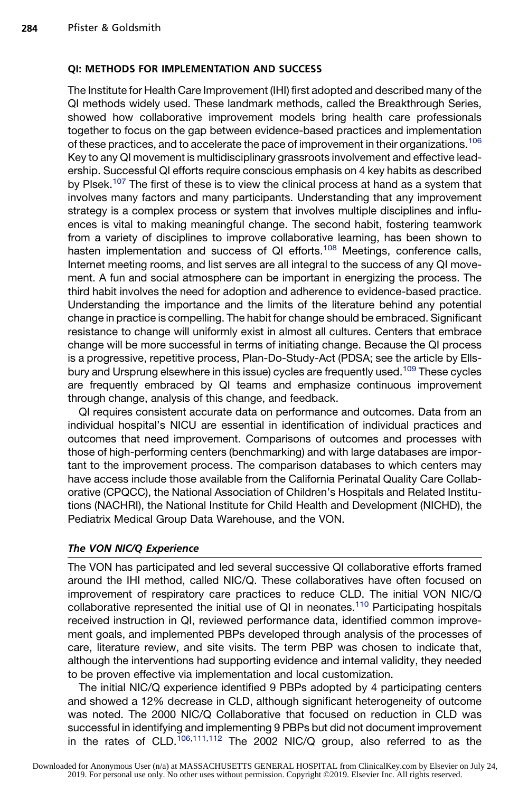#### QI: METHODS FOR IMPLEMENTATION AND SUCCESS

The Institute for Health Care Improvement (IHI) first adopted and described many of the QI methods widely used. These landmark methods, called the Breakthrough Series, showed how collaborative improvement models bring health care professionals together to focus on the gap between evidence-based practices and implementation of these practices, and to accelerate the pace of improvement in their organizations.<sup>[106](#page-20-0)</sup> Key to any QI movement is multidisciplinary grassroots involvement and effective leadership. Successful QI efforts require conscious emphasis on 4 key habits as described by Plsek.<sup>[107](#page-20-0)</sup> The first of these is to view the clinical process at hand as a system that involves many factors and many participants. Understanding that any improvement strategy is a complex process or system that involves multiple disciplines and influences is vital to making meaningful change. The second habit, fostering teamwork from a variety of disciplines to improve collaborative learning, has been shown to hasten implementation and success of QI efforts.<sup>[108](#page-20-0)</sup> Meetings, conference calls, Internet meeting rooms, and list serves are all integral to the success of any QI movement. A fun and social atmosphere can be important in energizing the process. The third habit involves the need for adoption and adherence to evidence-based practice. Understanding the importance and the limits of the literature behind any potential change in practice is compelling. The habit for change should be embraced. Significant resistance to change will uniformly exist in almost all cultures. Centers that embrace change will be more successful in terms of initiating change. Because the QI process is a progressive, repetitive process, Plan-Do-Study-Act (PDSA; see the article by Ellsbury and Ursprung elsewhere in this issue) cycles are frequently used.<sup>109</sup> These cycles are frequently embraced by QI teams and emphasize continuous improvement through change, analysis of this change, and feedback.

QI requires consistent accurate data on performance and outcomes. Data from an individual hospital's NICU are essential in identification of individual practices and outcomes that need improvement. Comparisons of outcomes and processes with those of high-performing centers (benchmarking) and with large databases are important to the improvement process. The comparison databases to which centers may have access include those available from the California Perinatal Quality Care Collaborative (CPQCC), the National Association of Children's Hospitals and Related Institutions (NACHRI), the National Institute for Child Health and Development (NICHD), the Pediatrix Medical Group Data Warehouse, and the VON.

### The VON NIC/Q Experience

The VON has participated and led several successive QI collaborative efforts framed around the IHI method, called NIC/Q. These collaboratives have often focused on improvement of respiratory care practices to reduce CLD. The initial VON NIC/Q collaborative represented the initial use of QI in neonates.<sup>[110](#page-20-0)</sup> Participating hospitals received instruction in QI, reviewed performance data, identified common improvement goals, and implemented PBPs developed through analysis of the processes of care, literature review, and site visits. The term PBP was chosen to indicate that, although the interventions had supporting evidence and internal validity, they needed to be proven effective via implementation and local customization.

The initial NIC/Q experience identified 9 PBPs adopted by 4 participating centers and showed a 12% decrease in CLD, although significant heterogeneity of outcome was noted. The 2000 NIC/Q Collaborative that focused on reduction in CLD was successful in identifying and implementing 9 PBPs but did not document improvement in the rates of CLD.<sup>[106,111,112](#page-20-0)</sup> The 2002 NIC/Q group, also referred to as the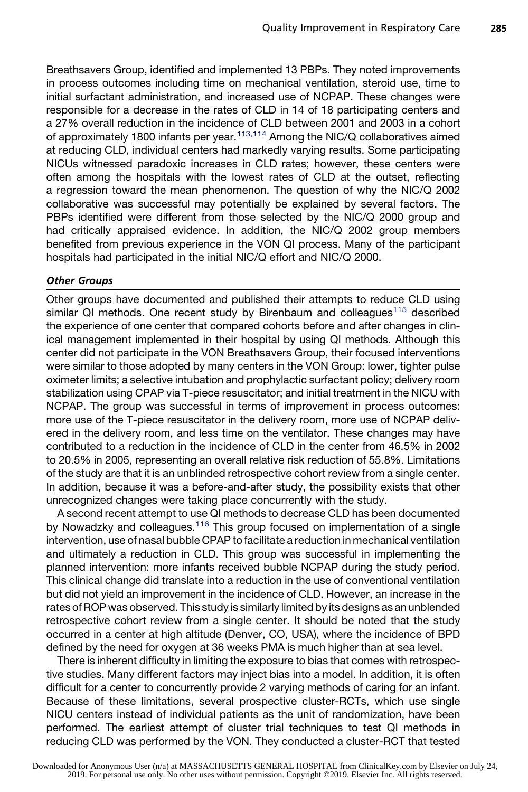Breathsavers Group, identified and implemented 13 PBPs. They noted improvements in process outcomes including time on mechanical ventilation, steroid use, time to initial surfactant administration, and increased use of NCPAP. These changes were responsible for a decrease in the rates of CLD in 14 of 18 participating centers and a 27% overall reduction in the incidence of CLD between 2001 and 2003 in a cohort of approximately 1800 infants per year.<sup>[113,114](#page-20-0)</sup> Among the NIC/Q collaboratives aimed at reducing CLD, individual centers had markedly varying results. Some participating NICUs witnessed paradoxic increases in CLD rates; however, these centers were often among the hospitals with the lowest rates of CLD at the outset, reflecting a regression toward the mean phenomenon. The question of why the NIC/Q 2002 collaborative was successful may potentially be explained by several factors. The PBPs identified were different from those selected by the NIC/Q 2000 group and had critically appraised evidence. In addition, the NIC/Q 2002 group members benefited from previous experience in the VON QI process. Many of the participant hospitals had participated in the initial NIC/Q effort and NIC/Q 2000.

### Other Groups

Other groups have documented and published their attempts to reduce CLD using similar QI methods. One recent study by Birenbaum and colleagues<sup>[115](#page-20-0)</sup> described the experience of one center that compared cohorts before and after changes in clinical management implemented in their hospital by using QI methods. Although this center did not participate in the VON Breathsavers Group, their focused interventions were similar to those adopted by many centers in the VON Group: lower, tighter pulse oximeter limits; a selective intubation and prophylactic surfactant policy; delivery room stabilization using CPAP via T-piece resuscitator; and initial treatment in the NICU with NCPAP. The group was successful in terms of improvement in process outcomes: more use of the T-piece resuscitator in the delivery room, more use of NCPAP delivered in the delivery room, and less time on the ventilator. These changes may have contributed to a reduction in the incidence of CLD in the center from 46.5% in 2002 to 20.5% in 2005, representing an overall relative risk reduction of 55.8%. Limitations of the study are that it is an unblinded retrospective cohort review from a single center. In addition, because it was a before-and-after study, the possibility exists that other unrecognized changes were taking place concurrently with the study.

A second recent attempt to use QI methods to decrease CLD has been documented by Nowadzky and colleagues.<sup>[116](#page-20-0)</sup> This group focused on implementation of a single intervention, use of nasal bubble CPAP to facilitate a reduction in mechanical ventilation and ultimately a reduction in CLD. This group was successful in implementing the planned intervention: more infants received bubble NCPAP during the study period. This clinical change did translate into a reduction in the use of conventional ventilation but did not yield an improvement in the incidence of CLD. However, an increase in the rates of ROP was observed. This study is similarly limited by its designs as an unblended retrospective cohort review from a single center. It should be noted that the study occurred in a center at high altitude (Denver, CO, USA), where the incidence of BPD defined by the need for oxygen at 36 weeks PMA is much higher than at sea level.

There is inherent difficulty in limiting the exposure to bias that comes with retrospective studies. Many different factors may inject bias into a model. In addition, it is often difficult for a center to concurrently provide 2 varying methods of caring for an infant. Because of these limitations, several prospective cluster-RCTs, which use single NICU centers instead of individual patients as the unit of randomization, have been performed. The earliest attempt of cluster trial techniques to test QI methods in reducing CLD was performed by the VON. They conducted a cluster-RCT that tested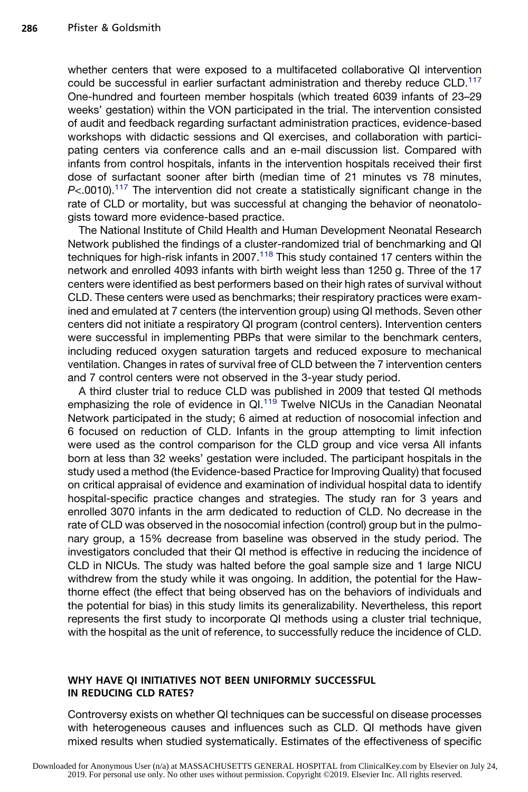whether centers that were exposed to a multifaceted collaborative QI intervention could be successful in earlier surfactant administration and thereby reduce CLD.<sup>[117](#page-20-0)</sup> One-hundred and fourteen member hospitals (which treated 6039 infants of 23–29 weeks' gestation) within the VON participated in the trial. The intervention consisted of audit and feedback regarding surfactant administration practices, evidence-based workshops with didactic sessions and QI exercises, and collaboration with participating centers via conference calls and an e-mail discussion list. Compared with infants from control hospitals, infants in the intervention hospitals received their first dose of surfactant sooner after birth (median time of 21 minutes vs 78 minutes,  $P$ <.0010).<sup>[117](#page-20-0)</sup> The intervention did not create a statistically significant change in the rate of CLD or mortality, but was successful at changing the behavior of neonatologists toward more evidence-based practice.

The National Institute of Child Health and Human Development Neonatal Research Network published the findings of a cluster-randomized trial of benchmarking and QI techniques for high-risk infants in  $2007$ .<sup>[118](#page-20-0)</sup> This study contained 17 centers within the network and enrolled 4093 infants with birth weight less than 1250 g. Three of the 17 centers were identified as best performers based on their high rates of survival without CLD. These centers were used as benchmarks; their respiratory practices were examined and emulated at 7 centers (the intervention group) using QI methods. Seven other centers did not initiate a respiratory QI program (control centers). Intervention centers were successful in implementing PBPs that were similar to the benchmark centers, including reduced oxygen saturation targets and reduced exposure to mechanical ventilation. Changes in rates of survival free of CLD between the 7 intervention centers and 7 control centers were not observed in the 3-year study period.

A third cluster trial to reduce CLD was published in 2009 that tested QI methods emphasizing the role of evidence in QI.<sup>[119](#page-20-0)</sup> Twelve NICUs in the Canadian Neonatal Network participated in the study; 6 aimed at reduction of nosocomial infection and 6 focused on reduction of CLD. Infants in the group attempting to limit infection were used as the control comparison for the CLD group and vice versa All infants born at less than 32 weeks' gestation were included. The participant hospitals in the study used a method (the Evidence-based Practice for Improving Quality) that focused on critical appraisal of evidence and examination of individual hospital data to identify hospital-specific practice changes and strategies. The study ran for 3 years and enrolled 3070 infants in the arm dedicated to reduction of CLD. No decrease in the rate of CLD was observed in the nosocomial infection (control) group but in the pulmonary group, a 15% decrease from baseline was observed in the study period. The investigators concluded that their QI method is effective in reducing the incidence of CLD in NICUs. The study was halted before the goal sample size and 1 large NICU withdrew from the study while it was ongoing. In addition, the potential for the Hawthorne effect (the effect that being observed has on the behaviors of individuals and the potential for bias) in this study limits its generalizability. Nevertheless, this report represents the first study to incorporate QI methods using a cluster trial technique, with the hospital as the unit of reference, to successfully reduce the incidence of CLD.

#### WHY HAVE QI INITIATIVES NOT BEEN UNIFORMLY SUCCESSFUL IN REDUCING CLD RATES?

Controversy exists on whether QI techniques can be successful on disease processes with heterogeneous causes and influences such as CLD. QI methods have given mixed results when studied systematically. Estimates of the effectiveness of specific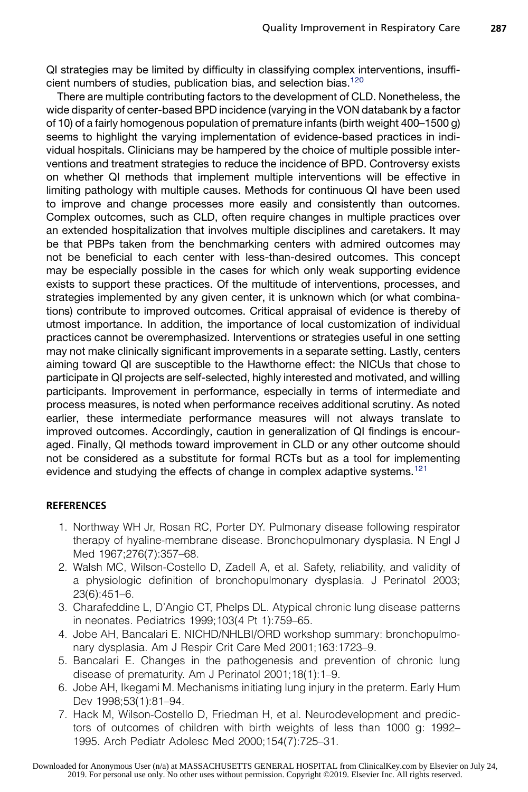<span id="page-14-0"></span>QI strategies may be limited by difficulty in classifying complex interventions, insufficient numbers of studies, publication bias, and selection bias.<sup>120</sup>

There are multiple contributing factors to the development of CLD. Nonetheless, the wide disparity of center-based BPD incidence (varying in the VON databank by a factor of 10) of a fairly homogenous population of premature infants (birth weight 400–1500 g) seems to highlight the varying implementation of evidence-based practices in individual hospitals. Clinicians may be hampered by the choice of multiple possible interventions and treatment strategies to reduce the incidence of BPD. Controversy exists on whether QI methods that implement multiple interventions will be effective in limiting pathology with multiple causes. Methods for continuous QI have been used to improve and change processes more easily and consistently than outcomes. Complex outcomes, such as CLD, often require changes in multiple practices over an extended hospitalization that involves multiple disciplines and caretakers. It may be that PBPs taken from the benchmarking centers with admired outcomes may not be beneficial to each center with less-than-desired outcomes. This concept may be especially possible in the cases for which only weak supporting evidence exists to support these practices. Of the multitude of interventions, processes, and strategies implemented by any given center, it is unknown which (or what combinations) contribute to improved outcomes. Critical appraisal of evidence is thereby of utmost importance. In addition, the importance of local customization of individual practices cannot be overemphasized. Interventions or strategies useful in one setting may not make clinically significant improvements in a separate setting. Lastly, centers aiming toward QI are susceptible to the Hawthorne effect: the NICUs that chose to participate in QI projects are self-selected, highly interested and motivated, and willing participants. Improvement in performance, especially in terms of intermediate and process measures, is noted when performance receives additional scrutiny. As noted earlier, these intermediate performance measures will not always translate to improved outcomes. Accordingly, caution in generalization of QI findings is encouraged. Finally, QI methods toward improvement in CLD or any other outcome should not be considered as a substitute for formal RCTs but as a tool for implementing evidence and studying the effects of change in complex adaptive systems.<sup>[121](#page-20-0)</sup>

## **REFERENCES**

- 1. Northway WH Jr, Rosan RC, Porter DY. Pulmonary disease following respirator therapy of hyaline-membrane disease. Bronchopulmonary dysplasia. N Engl J Med 1967;276(7):357–68.
- 2. Walsh MC, Wilson-Costello D, Zadell A, et al. Safety, reliability, and validity of a physiologic definition of bronchopulmonary dysplasia. J Perinatol 2003; 23(6):451–6.
- 3. Charafeddine L, D'Angio CT, Phelps DL. Atypical chronic lung disease patterns in neonates. Pediatrics 1999;103(4 Pt 1):759–65.
- 4. Jobe AH, Bancalari E. NICHD/NHLBI/ORD workshop summary: bronchopulmonary dysplasia. Am J Respir Crit Care Med 2001;163:1723–9.
- 5. Bancalari E. Changes in the pathogenesis and prevention of chronic lung disease of prematurity. Am J Perinatol 2001;18(1):1–9.
- 6. Jobe AH, Ikegami M. Mechanisms initiating lung injury in the preterm. Early Hum Dev 1998;53(1):81–94.
- 7. Hack M, Wilson-Costello D, Friedman H, et al. Neurodevelopment and predictors of outcomes of children with birth weights of less than 1000 g: 1992– 1995. Arch Pediatr Adolesc Med 2000;154(7):725–31.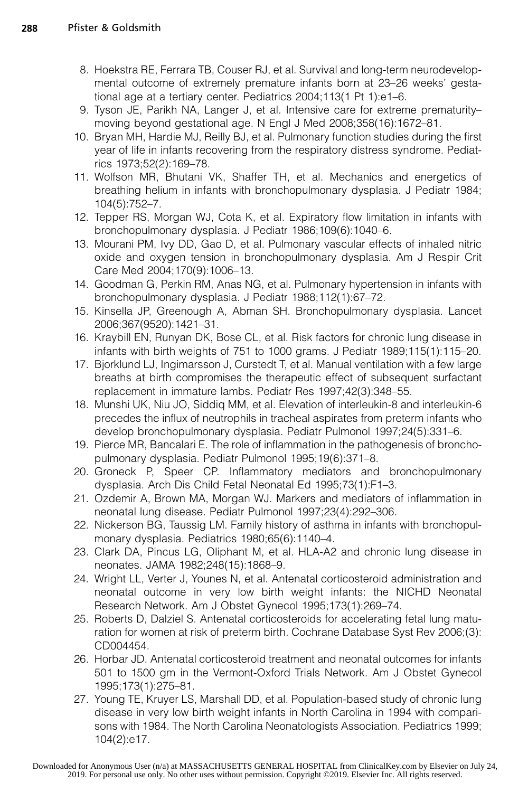- <span id="page-15-0"></span>8. Hoekstra RE, Ferrara TB, Couser RJ, et al. Survival and long-term neurodevelopmental outcome of extremely premature infants born at 23–26 weeks' gestational age at a tertiary center. Pediatrics 2004;113(1 Pt 1):e1–6.
- 9. Tyson JE, Parikh NA, Langer J, et al. Intensive care for extreme prematurity– moving beyond gestational age. N Engl J Med 2008;358(16):1672–81.
- 10. Bryan MH, Hardie MJ, Reilly BJ, et al. Pulmonary function studies during the first year of life in infants recovering from the respiratory distress syndrome. Pediatrics 1973;52(2):169–78.
- 11. Wolfson MR, Bhutani VK, Shaffer TH, et al. Mechanics and energetics of breathing helium in infants with bronchopulmonary dysplasia. J Pediatr 1984; 104(5):752–7.
- 12. Tepper RS, Morgan WJ, Cota K, et al. Expiratory flow limitation in infants with bronchopulmonary dysplasia. J Pediatr 1986;109(6):1040–6.
- 13. Mourani PM, Ivy DD, Gao D, et al. Pulmonary vascular effects of inhaled nitric oxide and oxygen tension in bronchopulmonary dysplasia. Am J Respir Crit Care Med 2004;170(9):1006–13.
- 14. Goodman G, Perkin RM, Anas NG, et al. Pulmonary hypertension in infants with bronchopulmonary dysplasia. J Pediatr 1988;112(1):67–72.
- 15. Kinsella JP, Greenough A, Abman SH. Bronchopulmonary dysplasia. Lancet 2006;367(9520):1421–31.
- 16. Kraybill EN, Runyan DK, Bose CL, et al. Risk factors for chronic lung disease in infants with birth weights of 751 to 1000 grams. J Pediatr 1989;115(1):115–20.
- 17. Bjorklund LJ, Ingimarsson J, Curstedt T, et al. Manual ventilation with a few large breaths at birth compromises the therapeutic effect of subsequent surfactant replacement in immature lambs. Pediatr Res 1997;42(3):348–55.
- 18. Munshi UK, Niu JO, Siddiq MM, et al. Elevation of interleukin-8 and interleukin-6 precedes the influx of neutrophils in tracheal aspirates from preterm infants who develop bronchopulmonary dysplasia. Pediatr Pulmonol 1997;24(5):331–6.
- 19. Pierce MR, Bancalari E. The role of inflammation in the pathogenesis of bronchopulmonary dysplasia. Pediatr Pulmonol 1995;19(6):371–8.
- 20. Groneck P, Speer CP. Inflammatory mediators and bronchopulmonary dysplasia. Arch Dis Child Fetal Neonatal Ed 1995;73(1):F1–3.
- 21. Ozdemir A, Brown MA, Morgan WJ. Markers and mediators of inflammation in neonatal lung disease. Pediatr Pulmonol 1997;23(4):292–306.
- 22. Nickerson BG, Taussig LM. Family history of asthma in infants with bronchopulmonary dysplasia. Pediatrics 1980;65(6):1140–4.
- 23. Clark DA, Pincus LG, Oliphant M, et al. HLA-A2 and chronic lung disease in neonates. JAMA 1982;248(15):1868–9.
- 24. Wright LL, Verter J, Younes N, et al. Antenatal corticosteroid administration and neonatal outcome in very low birth weight infants: the NICHD Neonatal Research Network. Am J Obstet Gynecol 1995;173(1):269–74.
- 25. Roberts D, Dalziel S. Antenatal corticosteroids for accelerating fetal lung maturation for women at risk of preterm birth. Cochrane Database Syst Rev 2006;(3): CD004454.
- 26. Horbar JD. Antenatal corticosteroid treatment and neonatal outcomes for infants 501 to 1500 gm in the Vermont-Oxford Trials Network. Am J Obstet Gynecol 1995;173(1):275–81.
- 27. Young TE, Kruyer LS, Marshall DD, et al. Population-based study of chronic lung disease in very low birth weight infants in North Carolina in 1994 with comparisons with 1984. The North Carolina Neonatologists Association. Pediatrics 1999; 104(2):e17.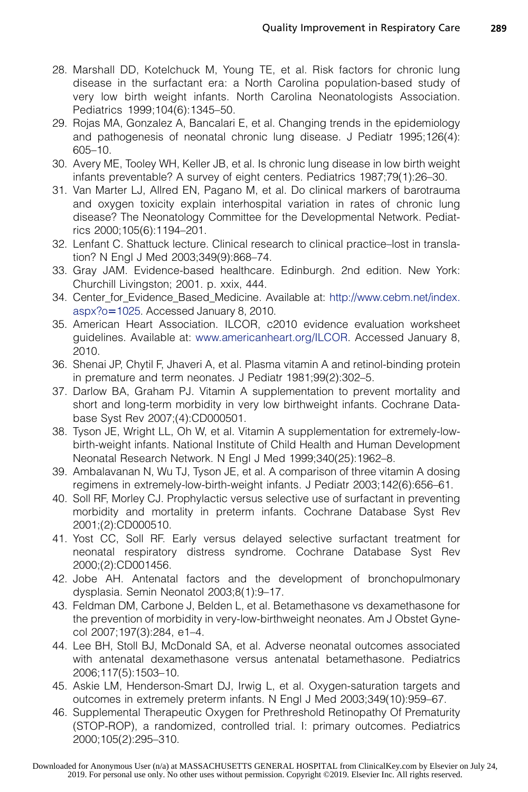- <span id="page-16-0"></span>28. Marshall DD, Kotelchuck M, Young TE, et al. Risk factors for chronic lung disease in the surfactant era: a North Carolina population-based study of very low birth weight infants. North Carolina Neonatologists Association. Pediatrics 1999;104(6):1345–50.
- 29. Rojas MA, Gonzalez A, Bancalari E, et al. Changing trends in the epidemiology and pathogenesis of neonatal chronic lung disease. J Pediatr 1995;126(4): 605–10.
- 30. Avery ME, Tooley WH, Keller JB, et al. Is chronic lung disease in low birth weight infants preventable? A survey of eight centers. Pediatrics 1987;79(1):26–30.
- 31. Van Marter LJ, Allred EN, Pagano M, et al. Do clinical markers of barotrauma and oxygen toxicity explain interhospital variation in rates of chronic lung disease? The Neonatology Committee for the Developmental Network. Pediatrics 2000;105(6):1194–201.
- 32. Lenfant C. Shattuck lecture. Clinical research to clinical practice–lost in translation? N Engl J Med 2003;349(9):868–74.
- 33. Gray JAM. Evidence-based healthcare. Edinburgh. 2nd edition. New York: Churchill Livingston; 2001. p. xxix, 444.
- 34. Center\_for\_Evidence\_Based\_Medicine. Available at: [http://www.cebm.net/index.](http://www.cebm.net/index.aspx?o=1025) [aspx?o](http://www.cebm.net/index.aspx?o=1025)=1025. Accessed January 8, 2010.
- 35. American Heart Association. ILCOR, c2010 evidence evaluation worksheet guidelines. Available at: [www.americanheart.org/ILCOR](http://www.americanheart.org/ILCOR). Accessed January 8, 2010.
- 36. Shenai JP, Chytil F, Jhaveri A, et al. Plasma vitamin A and retinol-binding protein in premature and term neonates. J Pediatr 1981;99(2):302–5.
- 37. Darlow BA, Graham PJ. Vitamin A supplementation to prevent mortality and short and long-term morbidity in very low birthweight infants. Cochrane Database Syst Rev 2007;(4):CD000501.
- 38. Tyson JE, Wright LL, Oh W, et al. Vitamin A supplementation for extremely-lowbirth-weight infants. National Institute of Child Health and Human Development Neonatal Research Network. N Engl J Med 1999;340(25):1962–8.
- 39. Ambalavanan N, Wu TJ, Tyson JE, et al. A comparison of three vitamin A dosing regimens in extremely-low-birth-weight infants. J Pediatr 2003;142(6):656–61.
- 40. Soll RF, Morley CJ. Prophylactic versus selective use of surfactant in preventing morbidity and mortality in preterm infants. Cochrane Database Syst Rev 2001;(2):CD000510.
- 41. Yost CC, Soll RF. Early versus delayed selective surfactant treatment for neonatal respiratory distress syndrome. Cochrane Database Syst Rev 2000;(2):CD001456.
- 42. Jobe AH. Antenatal factors and the development of bronchopulmonary dysplasia. Semin Neonatol 2003;8(1):9–17.
- 43. Feldman DM, Carbone J, Belden L, et al. Betamethasone vs dexamethasone for the prevention of morbidity in very-low-birthweight neonates. Am J Obstet Gynecol 2007;197(3):284, e1–4.
- 44. Lee BH, Stoll BJ, McDonald SA, et al. Adverse neonatal outcomes associated with antenatal dexamethasone versus antenatal betamethasone. Pediatrics 2006;117(5):1503–10.
- 45. Askie LM, Henderson-Smart DJ, Irwig L, et al. Oxygen-saturation targets and outcomes in extremely preterm infants. N Engl J Med 2003;349(10):959–67.
- 46. Supplemental Therapeutic Oxygen for Prethreshold Retinopathy Of Prematurity (STOP-ROP), a randomized, controlled trial. I: primary outcomes. Pediatrics 2000;105(2):295–310.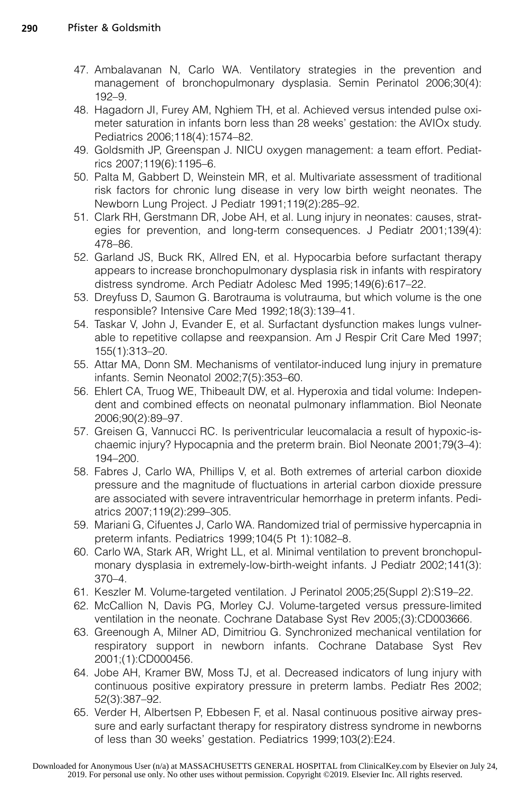- <span id="page-17-0"></span>47. Ambalavanan N, Carlo WA. Ventilatory strategies in the prevention and management of bronchopulmonary dysplasia. Semin Perinatol 2006;30(4): 192–9.
- 48. Hagadorn JI, Furey AM, Nghiem TH, et al. Achieved versus intended pulse oximeter saturation in infants born less than 28 weeks' gestation: the AVIOx study. Pediatrics 2006;118(4):1574–82.
- 49. Goldsmith JP, Greenspan J. NICU oxygen management: a team effort. Pediatrics 2007;119(6):1195–6.
- 50. Palta M, Gabbert D, Weinstein MR, et al. Multivariate assessment of traditional risk factors for chronic lung disease in very low birth weight neonates. The Newborn Lung Project. J Pediatr 1991;119(2):285–92.
- 51. Clark RH, Gerstmann DR, Jobe AH, et al. Lung injury in neonates: causes, strategies for prevention, and long-term consequences. J Pediatr 2001;139(4): 478–86.
- 52. Garland JS, Buck RK, Allred EN, et al. Hypocarbia before surfactant therapy appears to increase bronchopulmonary dysplasia risk in infants with respiratory distress syndrome. Arch Pediatr Adolesc Med 1995;149(6):617–22.
- 53. Dreyfuss D, Saumon G. Barotrauma is volutrauma, but which volume is the one responsible? Intensive Care Med 1992;18(3):139–41.
- 54. Taskar V, John J, Evander E, et al. Surfactant dysfunction makes lungs vulnerable to repetitive collapse and reexpansion. Am J Respir Crit Care Med 1997; 155(1):313–20.
- 55. Attar MA, Donn SM. Mechanisms of ventilator-induced lung injury in premature infants. Semin Neonatol 2002;7(5):353–60.
- 56. Ehlert CA, Truog WE, Thibeault DW, et al. Hyperoxia and tidal volume: Independent and combined effects on neonatal pulmonary inflammation. Biol Neonate 2006;90(2):89–97.
- 57. Greisen G, Vannucci RC. Is periventricular leucomalacia a result of hypoxic-ischaemic injury? Hypocapnia and the preterm brain. Biol Neonate 2001;79(3–4): 194–200.
- 58. Fabres J, Carlo WA, Phillips V, et al. Both extremes of arterial carbon dioxide pressure and the magnitude of fluctuations in arterial carbon dioxide pressure are associated with severe intraventricular hemorrhage in preterm infants. Pediatrics 2007;119(2):299–305.
- 59. Mariani G, Cifuentes J, Carlo WA. Randomized trial of permissive hypercapnia in preterm infants. Pediatrics 1999;104(5 Pt 1):1082–8.
- 60. Carlo WA, Stark AR, Wright LL, et al. Minimal ventilation to prevent bronchopulmonary dysplasia in extremely-low-birth-weight infants. J Pediatr 2002;141(3): 370–4.
- 61. Keszler M. Volume-targeted ventilation. J Perinatol 2005;25(Suppl 2):S19–22.
- 62. McCallion N, Davis PG, Morley CJ. Volume-targeted versus pressure-limited ventilation in the neonate. Cochrane Database Syst Rev 2005;(3):CD003666.
- 63. Greenough A, Milner AD, Dimitriou G. Synchronized mechanical ventilation for respiratory support in newborn infants. Cochrane Database Syst Rev 2001;(1):CD000456.
- 64. Jobe AH, Kramer BW, Moss TJ, et al. Decreased indicators of lung injury with continuous positive expiratory pressure in preterm lambs. Pediatr Res 2002; 52(3):387–92.
- 65. Verder H, Albertsen P, Ebbesen F, et al. Nasal continuous positive airway pressure and early surfactant therapy for respiratory distress syndrome in newborns of less than 30 weeks' gestation. Pediatrics 1999;103(2):E24.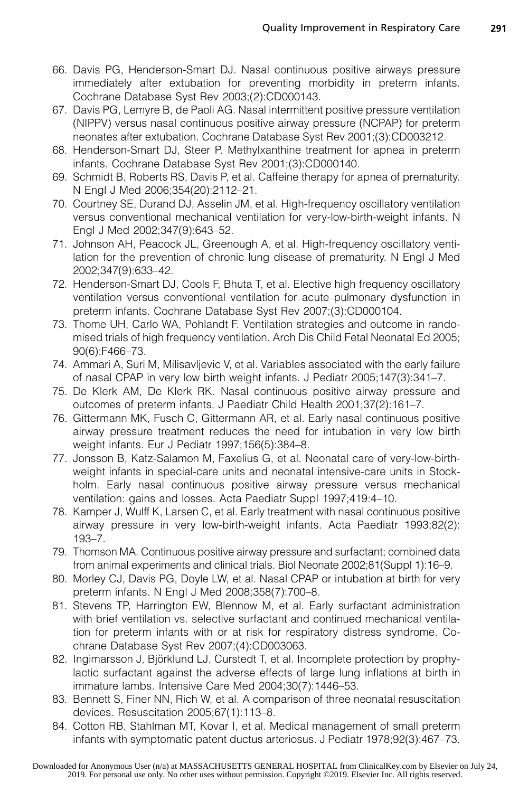- <span id="page-18-0"></span>66. Davis PG, Henderson-Smart DJ. Nasal continuous positive airways pressure immediately after extubation for preventing morbidity in preterm infants. Cochrane Database Syst Rev 2003;(2):CD000143.
- 67. Davis PG, Lemyre B, de Paoli AG. Nasal intermittent positive pressure ventilation (NIPPV) versus nasal continuous positive airway pressure (NCPAP) for preterm neonates after extubation. Cochrane Database Syst Rev 2001;(3):CD003212.
- 68. Henderson-Smart DJ, Steer P. Methylxanthine treatment for apnea in preterm infants. Cochrane Database Syst Rev 2001;(3):CD000140.
- 69. Schmidt B, Roberts RS, Davis P, et al. Caffeine therapy for apnea of prematurity. N Engl J Med 2006;354(20):2112–21.
- 70. Courtney SE, Durand DJ, Asselin JM, et al. High-frequency oscillatory ventilation versus conventional mechanical ventilation for very-low-birth-weight infants. N Engl J Med 2002;347(9):643–52.
- 71. Johnson AH, Peacock JL, Greenough A, et al. High-frequency oscillatory ventilation for the prevention of chronic lung disease of prematurity. N Engl J Med 2002;347(9):633–42.
- 72. Henderson-Smart DJ, Cools F, Bhuta T, et al. Elective high frequency oscillatory ventilation versus conventional ventilation for acute pulmonary dysfunction in preterm infants. Cochrane Database Syst Rev 2007;(3):CD000104.
- 73. Thome UH, Carlo WA, Pohlandt F. Ventilation strategies and outcome in randomised trials of high frequency ventilation. Arch Dis Child Fetal Neonatal Ed 2005; 90(6):F466–73.
- 74. Ammari A, Suri M, Milisavljevic V, et al. Variables associated with the early failure of nasal CPAP in very low birth weight infants. J Pediatr 2005;147(3):341–7.
- 75. De Klerk AM, De Klerk RK. Nasal continuous positive airway pressure and outcomes of preterm infants. J Paediatr Child Health 2001;37(2):161–7.
- 76. Gittermann MK, Fusch C, Gittermann AR, et al. Early nasal continuous positive airway pressure treatment reduces the need for intubation in very low birth weight infants. Eur J Pediatr 1997;156(5):384–8.
- 77. Jonsson B, Katz-Salamon M, Faxelius G, et al. Neonatal care of very-low-birthweight infants in special-care units and neonatal intensive-care units in Stockholm. Early nasal continuous positive airway pressure versus mechanical ventilation: gains and losses. Acta Paediatr Suppl 1997;419:4–10.
- 78. Kamper J, Wulff K, Larsen C, et al. Early treatment with nasal continuous positive airway pressure in very low-birth-weight infants. Acta Paediatr 1993;82(2): 193–7.
- 79. Thomson MA. Continuous positive airway pressure and surfactant; combined data from animal experiments and clinical trials. Biol Neonate 2002;81(Suppl 1):16–9.
- 80. Morley CJ, Davis PG, Doyle LW, et al. Nasal CPAP or intubation at birth for very preterm infants. N Engl J Med 2008;358(7):700–8.
- 81. Stevens TP, Harrington EW, Blennow M, et al. Early surfactant administration with brief ventilation vs. selective surfactant and continued mechanical ventilation for preterm infants with or at risk for respiratory distress syndrome. Cochrane Database Syst Rev 2007;(4):CD003063.
- 82. Ingimarsson J, Björklund LJ, Curstedt T, et al. Incomplete protection by prophylactic surfactant against the adverse effects of large lung inflations at birth in immature lambs. Intensive Care Med 2004;30(7):1446–53.
- 83. Bennett S, Finer NN, Rich W, et al. A comparison of three neonatal resuscitation devices. Resuscitation 2005;67(1):113–8.
- 84. Cotton RB, Stahlman MT, Kovar I, et al. Medical management of small preterm infants with symptomatic patent ductus arteriosus. J Pediatr 1978;92(3):467–73.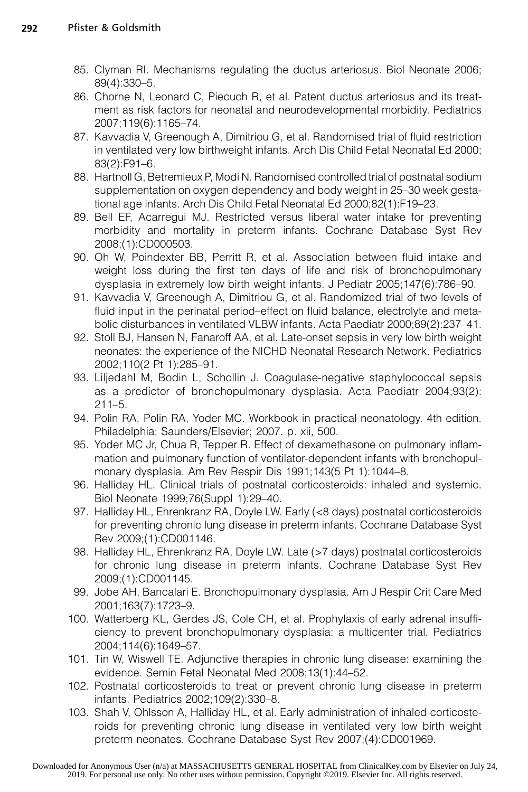- <span id="page-19-0"></span>85. Clyman RI. Mechanisms regulating the ductus arteriosus. Biol Neonate 2006; 89(4):330–5.
- 86. Chorne N, Leonard C, Piecuch R, et al. Patent ductus arteriosus and its treatment as risk factors for neonatal and neurodevelopmental morbidity. Pediatrics 2007;119(6):1165–74.
- 87. Kavvadia V, Greenough A, Dimitriou G, et al. Randomised trial of fluid restriction in ventilated very low birthweight infants. Arch Dis Child Fetal Neonatal Ed 2000; 83(2):F91–6.
- 88. Hartnoll G, Betremieux P, Modi N. Randomised controlled trial of postnatal sodium supplementation on oxygen dependency and body weight in 25–30 week gestational age infants. Arch Dis Child Fetal Neonatal Ed 2000;82(1):F19–23.
- 89. Bell EF, Acarregui MJ. Restricted versus liberal water intake for preventing morbidity and mortality in preterm infants. Cochrane Database Syst Rev 2008;(1):CD000503.
- 90. Oh W, Poindexter BB, Perritt R, et al. Association between fluid intake and weight loss during the first ten days of life and risk of bronchopulmonary dysplasia in extremely low birth weight infants. J Pediatr 2005;147(6):786–90.
- 91. Kavvadia V, Greenough A, Dimitriou G, et al. Randomized trial of two levels of fluid input in the perinatal period–effect on fluid balance, electrolyte and metabolic disturbances in ventilated VLBW infants. Acta Paediatr 2000;89(2):237–41.
- 92. Stoll BJ, Hansen N, Fanaroff AA, et al. Late-onset sepsis in very low birth weight neonates: the experience of the NICHD Neonatal Research Network. Pediatrics 2002;110(2 Pt 1):285–91.
- 93. Liljedahl M, Bodin L, Schollin J. Coagulase-negative staphylococcal sepsis as a predictor of bronchopulmonary dysplasia. Acta Paediatr 2004;93(2): 211–5.
- 94. Polin RA, Polin RA, Yoder MC. Workbook in practical neonatology. 4th edition. Philadelphia: Saunders/Elsevier; 2007. p. xii, 500.
- 95. Yoder MC Jr, Chua R, Tepper R. Effect of dexamethasone on pulmonary inflammation and pulmonary function of ventilator-dependent infants with bronchopulmonary dysplasia. Am Rev Respir Dis 1991;143(5 Pt 1):1044–8.
- 96. Halliday HL. Clinical trials of postnatal corticosteroids: inhaled and systemic. Biol Neonate 1999;76(Suppl 1):29–40.
- 97. Halliday HL, Ehrenkranz RA, Doyle LW. Early (<8 days) postnatal corticosteroids for preventing chronic lung disease in preterm infants. Cochrane Database Syst Rev 2009;(1):CD001146.
- 98. Halliday HL, Ehrenkranz RA, Doyle LW. Late (>7 days) postnatal corticosteroids for chronic lung disease in preterm infants. Cochrane Database Syst Rev 2009;(1):CD001145.
- 99. Jobe AH, Bancalari E. Bronchopulmonary dysplasia. Am J Respir Crit Care Med 2001;163(7):1723–9.
- 100. Watterberg KL, Gerdes JS, Cole CH, et al. Prophylaxis of early adrenal insufficiency to prevent bronchopulmonary dysplasia: a multicenter trial. Pediatrics 2004;114(6):1649–57.
- 101. Tin W, Wiswell TE. Adjunctive therapies in chronic lung disease: examining the evidence. Semin Fetal Neonatal Med 2008;13(1):44–52.
- 102. Postnatal corticosteroids to treat or prevent chronic lung disease in preterm infants. Pediatrics 2002;109(2):330–8.
- 103. Shah V, Ohlsson A, Halliday HL, et al. Early administration of inhaled corticosteroids for preventing chronic lung disease in ventilated very low birth weight preterm neonates. Cochrane Database Syst Rev 2007;(4):CD001969.